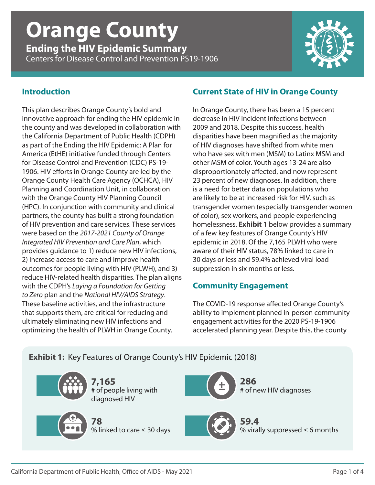# *Ending the HIV Epidemic Summary* | **Orange County** | CDC PS19-1906 **Orange County**

**Ending the HIV Epidemic Summary** Centers for Disease Control and Prevention PS19-1906



### **Introduction**

This plan describes Orange County's bold and innovative approach for ending the HIV epidemic in the county and was developed in collaboration with the California Department of Public Health (CDPH) as part of the Ending the HIV Epidemic: A Plan for America (EtHE) initiative funded through Centers for Disease Control and Prevention (CDC) PS-19- 1906. HIV efforts in Orange County are led by the Orange County Health Care Agency (OCHCA), HIV Planning and Coordination Unit, in collaboration with the Orange County HIV Planning Council (HPC). In conjunction with community and clinical partners, the county has built a strong foundation of HIV prevention and care services. These services were based on the *2017-2021 County of Orange Integrated HIV Prevention and Care Plan*, which provides guidance to 1) reduce new HIV infections, 2) increase access to care and improve health outcomes for people living with HIV (PLWH), and 3) reduce HIV-related health disparities. The plan aligns with the CDPH's *Laying a Foundation for Getting to Zero* plan and the *National HIV/AIDS Strategy*. These baseline activities, and the infrastructure that supports them, are critical for reducing and ultimately eliminating new HIV infections and optimizing the health of PLWH in Orange County.

#### **Current State of HIV in Orange County**

In Orange County, there has been a 15 percent decrease in HIV incident infections between 2009 and 2018. Despite this success, health disparities have been magnified as the majority of HIV diagnoses have shifted from white men who have sex with men (MSM) to Latinx MSM and other MSM of color. Youth ages 13-24 are also disproportionately affected, and now represent 23 percent of new diagnoses. In addition, there is a need for better data on populations who are likely to be at increased risk for HIV, such as transgender women (especially transgender women of color), sex workers, and people experiencing homelessness. **Exhibit 1** below provides a summary of a few key features of Orange County's HIV epidemic in 2018. Of the 7,165 PLWH who were aware of their HIV status, 78% linked to care in 30 days or less and 59.4% achieved viral load suppression in six months or less.

# **Community Engagement**

The COVID-19 response affected Orange County's ability to implement planned in-person community engagement activities for the 2020 PS-19-1906 accelerated planning year. Despite this, the county

# **Exhibit 1:** Key Features of Orange County's HIV Epidemic (2018)

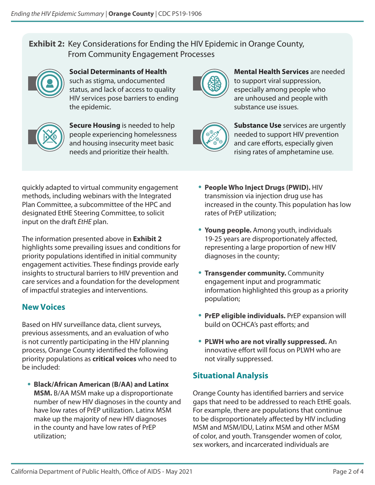# **Exhibit 2:** Key Considerations for Ending the HIV Epidemic in Orange County, From Community Engagement Processes



**Social Determinants of Health** such as stigma, undocumented status, and lack of access to quality HIV services pose barriers to ending the epidemic.



**Secure Housing** is needed to help people experiencing homelessness and housing insecurity meet basic needs and prioritize their health.



**Mental Health Services** are needed to support viral suppression, especially among people who are unhoused and people with substance use issues.



**Substance Use** services are urgently needed to support HIV prevention and care efforts, especially given rising rates of amphetamine use.

quickly adapted to virtual community engagement methods, including webinars with the Integrated Plan Committee, a subcommittee of the HPC and designated EtHE Steering Committee, to solicit input on the draft *EtHE* plan.

The information presented above in **Exhibit 2** highlights some prevailing issues and conditions for priority populations identified in initial community engagement activities. These findings provide early insights to structural barriers to HIV prevention and care services and a foundation for the development of impactful strategies and interventions.

# **New Voices**

Based on HIV surveillance data, client surveys, previous assessments, and an evaluation of who is not currently participating in the HIV planning process, Orange County identified the following priority populations as **critical voices** who need to be included:

• **Black/African American (B/AA) and Latinx MSM.** B/AA MSM make up a disproportionate number of new HIV diagnoses in the county and have low rates of PrEP utilization. Latinx MSM make up the majority of new HIV diagnoses in the county and have low rates of PrEP utilization;

- **People Who Inject Drugs (PWID).** HIV transmission via injection drug use has increased in the county. This population has low rates of PrEP utilization;
- **Young people.** Among youth, individuals 19-25 years are disproportionately affected, representing a large proportion of new HIV diagnoses in the county;
- **Transgender community.** Community engagement input and programmatic information highlighted this group as a priority population;
- **PrEP eligible individuals.** PrEP expansion will build on OCHCA's past efforts; and
- **PLWH who are not virally suppressed.** An innovative effort will focus on PLWH who are not virally suppressed.

# **Situational Analysis**

Orange County has identified barriers and service gaps that need to be addressed to reach EtHE goals. For example, there are populations that continue to be disproportionately affected by HIV including MSM and MSM/IDU, Latinx MSM and other MSM of color, and youth. Transgender women of color, sex workers, and incarcerated individuals are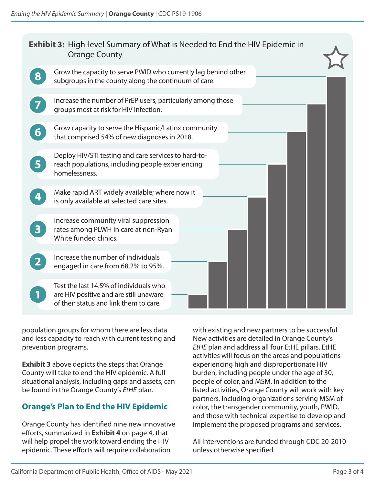| <b>Exhibit 3:</b> High-level Summary of What is Needed to End the HIV Epidemic in<br><b>Orange County</b> |                                                                                                                            |
|-----------------------------------------------------------------------------------------------------------|----------------------------------------------------------------------------------------------------------------------------|
|                                                                                                           | Grow the capacity to serve PWID who currently lag behind other<br>subgroups in the county along the continuum of care.     |
|                                                                                                           | Increase the number of PrEP users, particularly among those<br>groups most at risk for HIV infection.                      |
| 6                                                                                                         | Grow capacity to serve the Hispanic/Latinx community<br>that comprised 54% of new diagnoses in 2018.                       |
| 5 <sub>1</sub>                                                                                            | Deploy HIV/STI testing and care services to hard-to-<br>reach populations, including people experiencing<br>homelessness.  |
|                                                                                                           | Make rapid ART widely available; where now it<br>is only available at selected care sites.                                 |
| $\overline{\mathbf{3}}$                                                                                   | Increase community viral suppression<br>rates among PLWH in care at non-Ryan<br>White funded clinics.                      |
|                                                                                                           | Increase the number of individuals<br>engaged in care from 68.2% to 95%.                                                   |
|                                                                                                           | Test the last 14.5% of individuals who<br>are HIV positive and are still unaware<br>of their status and link them to care. |

population groups for whom there are less data and less capacity to reach with current testing and prevention programs.

**Exhibit 3** above depicts the steps that Orange County will take to end the HIV epidemic. A full situational analysis, including gaps and assets, can be found in the Orange County's *EtHE* plan.

# **Orange's Plan to End the HIV Epidemic**

Orange County has identified nine new innovative efforts, summarized in **Exhibit 4** on page 4, that will help propel the work toward ending the HIV epidemic. These efforts will require collaboration

with existing and new partners to be successful. New activities are detailed in Orange County's *EtHE* plan and address all four EtHE pillars. EtHE activities will focus on the areas and populations experiencing high and disproportionate HIV burden, including people under the age of 30, people of color, and MSM. In addition to the listed activities, Orange County will work with key partners, including organizations serving MSM of color, the transgender community, youth, PWID, and those with technical expertise to develop and implement the proposed programs and services.

All interventions are funded through CDC 20-2010 unless otherwise specified.